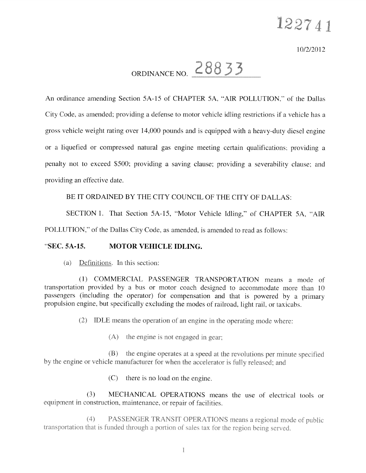10/2/2012

# ORDINANCE NO.  $28833$

An ordinance amending Section 5A-15 of CHAPTER 5A. "AIR POLLUTION," of the Dallas City Code, as amended; providing <sup>a</sup> defense to motor vehicle idling restrictions if <sup>a</sup> vehicle has <sup>a</sup> gross vehicle weight rating over 14.000 pounds and is equipped with <sup>a</sup> heavy-duty diesel engine or <sup>a</sup> liquefied or compressed natural gas engine meeting certain qualifications: providing <sup>a</sup> penalty not to exceed 5500: providing <sup>a</sup> saving clause: providing <sup>a</sup> severability clause: and providing an effective date.

#### BE IT ORDAINED BY THE CITY COUNCIL OF THE CiTY OF DALLAS:

SECTION 1. That Section 5A-15, "Motor Vehicle Idling," of CHAPTER 5A, "AIR

POLLUTION," of the Dallas City Code, as amended, is amended to read as follows:

#### SEC. 5A-15. MOTOR VEHICLE IDLING.

(a) Definitions. In this section:

(1) COMMERCIAL PASSENGER TRANSPORTATION means <sup>a</sup> mode of transportation provided by <sup>a</sup> bus or motor coach designed to accommodate more than <sup>10</sup> passengers (including the operator) for compensation and that is powere<sup>d</sup> by <sup>a</sup> primary propulsion engine, but specifically excluding the modes of railroad, light rail, or taxicabs.

(2) IDLE means the operation of an engine in the operating mode where:

 $(A)$  the engine is not engaged in gear;

(B) the engine operates at <sup>a</sup> spee<sup>d</sup> at the revolutions per minute specitied by the engine or vehicle manufacturer for when the accelerator is fully released; and

(C) there is no load on the engine.

(3) MECHANICAL OPERATIONS means the use of electrical tools or equipment in construction, maintenance, or repair of facilities.

(4) PASSENGER TRANSIT OPERATIONS means a regional mode of public transportation that is funded through a portion of sales tax for the region being served.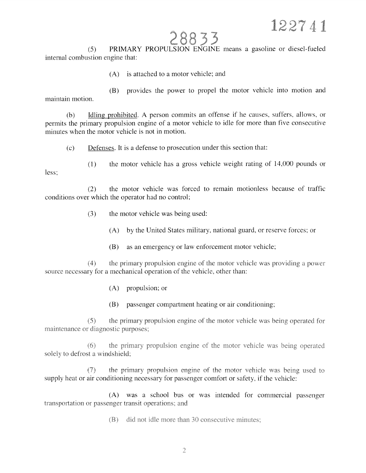### 28833

(5) PRIMARY PROPULSION ENGINE means <sup>a</sup> gasoline or diesel-fueled internal combustion engine that:

(A) is attached to <sup>a</sup> motor vehicle; and

(B) provides the power to propel the motor vehicle into motion and maintain motion.

(b) Idling prohibited. <sup>A</sup> person commits an offense if he causes, suffers, allows, or permits the primary propulsion engine of <sup>a</sup> motor vehicle to idle for more than five consecutive minutes when the motor vehicle is not in motion.

(c) Defenses. It is <sup>a</sup> defense to prosecution under this section that:

(1) the motor vehicle has <sup>a</sup> gross vehicle weight rating of 14,000 pounds or less;

(2) the motor vehicle was forced to remain motionless because of traffic conditions over which the operator had no control;

- (3) the motor vehicle was being used:
	- (A) by the United States military, national guard, or reserve forces; or
	- (B) as an emergency or law enforcement motor vehicle;

 $(4)$  the primary propulsion engine of the motor vehicle was providing a power source necessary for a mechanical operation of the vehicle, other than:

- (A) propulsion; or
- (B) passenger compartment heating or air conditioning;

(5) the primary propulsion engine of the motor ehic1c was being operated for maintenance or diagnostic purposes;

 $(6)$  the primary propulsion engine of the motor vehicle was being operated solely to defrost a windshield;

(7) the primary propulsion engine of the motor vehicle was being used to supply heat or air conditioning necessary for passenger comfort or safety. if the vehicle:

(A) was <sup>a</sup> school bus or was intended for commercial passenger transportation or passenger transit operations; and

(B) did not idle more than 30 consecutive minutes;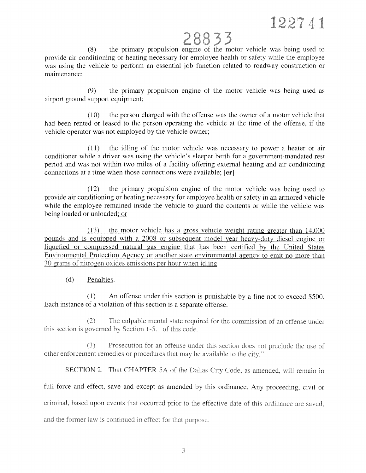# 28833

(8) the primary propulsion engine of the motor vehicle was being used to provide air conditioning or heating necessary for employee health or safety while the employee was using the vehicle to perform an essential job function related to roadway construction or maintenance:

(9) the primary propulsion engine of the motor vehicle was being used as airport ground suppor<sup>t</sup> equipment;

(10) the person charged with the offense was the owner of <sup>a</sup> motor vehicle that had been rented or leased to the person operating the vehicle at the time of the offense, if the vehicle operator was not employed by the vehicle owner;

(11) the idling of the motor vehicle was necessary to power <sup>a</sup> heater or air conditioner while <sup>a</sup> driver was using the vehicle's sleeper berth for <sup>a</sup> government-mandated rest period and was not within two miles of <sup>a</sup> facility offering external heating and air conditioning connections at a time when those connections were available;  $[ $\Theta$ **r**]$ 

(12) the primary propulsion engine of the motor vehicle was being used to provide air conditioning or heating necessary for employee health or safety in an armored vehicle while the employee remained inside the vehicle to guard the contents or while the vehicle was being loaded or unloaded; or

(13) the motor vehicle has <sup>a</sup> gross chicle weight rating greater than 14,000 pounds and is equipped with a 2008 or subsequent model year heavy-duty diesel engine or liquefied or compressed natural gas engine that has been certified by the United States Environmental Protection Agency or another state environmental agency to emit no more than 30 grams of nitrogen oxides emissions per hour when idling.

### (d) Penalties.

(1) An offense under this section is punishable by <sup>a</sup> fine not to exceed \$500. Each instance of <sup>a</sup> violation of this section is <sup>a</sup> separate offense.

(2) The culpable mental state required for the commission of an offense under this section is governed by Section 1-5.1 of this code.

 $(3)$ Prosecution for an offense under this section does not preclude the use of other enforcement remedies or procedures that may be available to the city."

SECTION 2. That CHAPTER 5A of the Dallas City Code, as amended, will remain in

full force and effect, save and excep<sup>t</sup> as amended by this ordinance. Any proceeding, civil or

criminal, based upon events that occurred prior to the effective date of this ordinance are saved,

and the former law is continued in effect for that purpose.